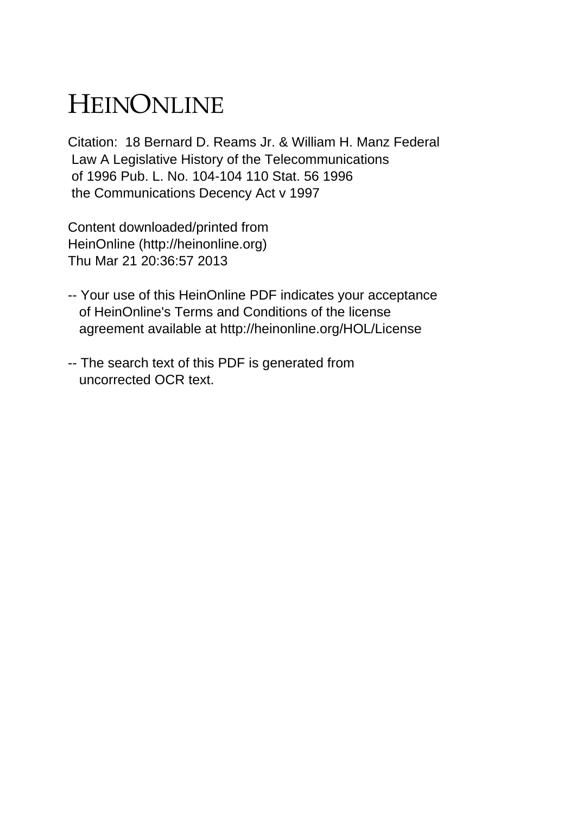## HEINONLINE

Citation: 18 Bernard D. Reams Jr. & William H. Manz Federal Law A Legislative History of the Telecommunications of 1996 Pub. L. No. 104-104 110 Stat. 56 1996 the Communications Decency Act v 1997

Content downloaded/printed from HeinOnline (http://heinonline.org) Thu Mar 21 20:36:57 2013

- -- Your use of this HeinOnline PDF indicates your acceptance of HeinOnline's Terms and Conditions of the license agreement available at http://heinonline.org/HOL/License
- -- The search text of this PDF is generated from uncorrected OCR text.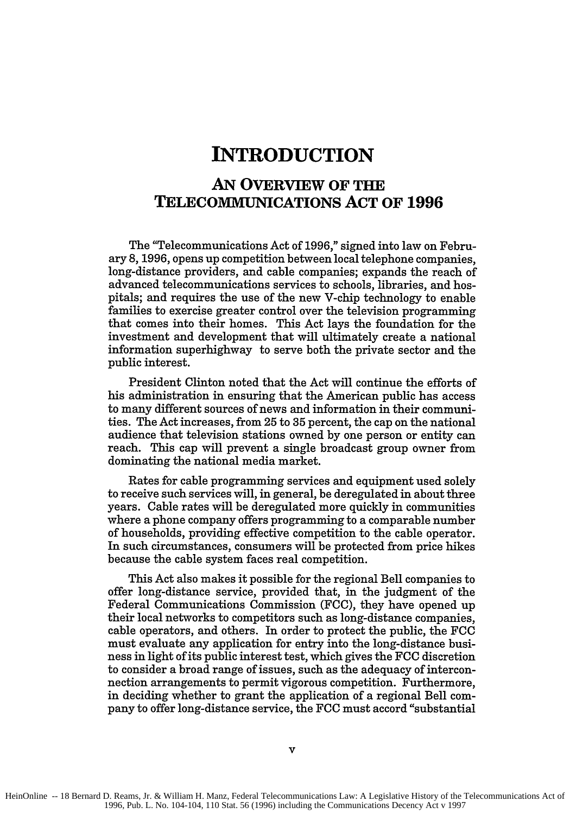## **INTRODUCTION**

## **AN OVERVIEW OF THE TELECOMMUNICATIONS ACT OF 1996**

The "Telecommunications Act of **1996,"** signed into law on February **8, 1996,** opens up competition between local telephone companies, long-distance providers, and cable companies; expands the reach of advanced telecommunications services to schools, libraries, and hospitals; and requires the use of the new V-chip technology to enable families to exercise greater control over the television programming that comes into their homes. This Act lays the foundation for the investment and development that will ultimately create a national information superhighway to serve both the private sector and the public interest.

President Clinton noted that the Act will continue the efforts of his administration in ensuring that the American public has access to many different sources of news and information in their communities. The Act increases, from **25** to **35** percent, the cap on the national audience that television stations owned **by** one person or entity can reach. This cap will prevent a single broadcast group owner from dominating the national media market.

Rates for cable programming services and equipment used solely to receive such services will, in general, be deregulated in about three years. Cable rates will be deregulated more quickly in communities where a phone company offers programming to a comparable number of households, providing effective competition to the cable operator. In such circumstances, consumers will be protected from price hikes because the cable system faces real competition.

This Act also makes it possible for the regional Bell companies to offer long-distance service, provided that, in the judgment of the Federal Communications Commission **(FCC),** they have opened up their local networks to competitors such as long-distance companies, cable operators, and others. In order to protect the public, the **FCC** must evaluate any application for entry into the long-distance business in light of its public interest test, which gives the **FCC** discretion to consider a broad range of issues, such as the adequacy of interconnection arrangements to permit vigorous competition. Furthermore, in deciding whether to grant the application of a regional Bell company to offer long-distance service, the **FCC** must accord "substantial